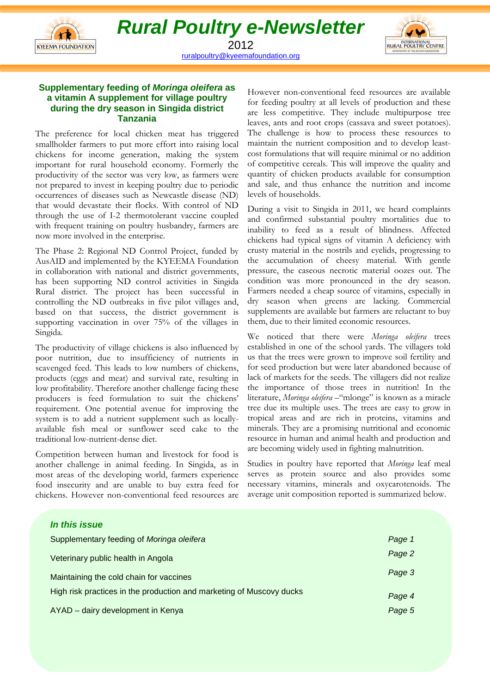



2012 ruralpoultry@kyeemafoundation.org

## **Supplementary feeding of Moringa oleifera as a vitamin A supplement for village poultry during the dry season in Singida district Tanzania**

The preference for local chicken meat has triggered smallholder farmers to put more effort into raising local chickens for income generation, making the system important for rural household economy. Formerly the productivity of the sector was very low, as farmers were not prepared to invest in keeping poultry due to periodic occurrences of diseases such as Newcastle disease (ND) that would devastate their flocks. With control of ND through the use of I-2 thermotolerant vaccine coupled with frequent training on poultry husbandry, farmers are now more involved in the enterprise.

The Phase 2: Regional ND Control Project, funded by AusAID and implemented by the KYEEMA Foundation in collaboration with national and district governments, has been supporting ND control activities in Singida Rural district. The project has been successful in controlling the ND outbreaks in five pilot villages and, based on that success, the district government is supporting vaccination in over 75% of the villages in Singida.

The productivity of village chickens is also influenced by poor nutrition, due to insufficiency of nutrients in scavenged feed. This leads to low numbers of chickens, products (eggs and meat) and survival rate, resulting in low profitability. Therefore another challenge facing these producers is feed formulation to suit the chickens' requirement. One potential avenue for improving the system is to add a nutrient supplement such as locallyavailable fish meal or sunflower seed cake to the traditional low-nutrient-dense diet.

Competition between human and livestock for food is another challenge in animal feeding. In Singida, as in most areas of the developing world, farmers experience food insecurity and are unable to buy extra feed for chickens. However non-conventional feed resources are

However non-conventional feed resources are available for feeding poultry at all levels of production and these are less competitive. They include multipurpose tree leaves, ants and root crops (cassava and sweet potatoes). The challenge is how to process these resources to maintain the nutrient composition and to develop leastcost formulations that will require minimal or no addition of competitive cereals. This will improve the quality and quantity of chicken products available for consumption and sale, and thus enhance the nutrition and income levels of households.

During a visit to Singida in 2011, we heard complaints and confirmed substantial poultry mortalities due to inability to feed as a result of blindness. Affected chickens had typical signs of vitamin A deficiency with crusty material in the nostrils and eyelids, progressing to the accumulation of cheesy material. With gentle pressure, the caseous necrotic material oozes out. The condition was more pronounced in the dry season. Farmers needed a cheap source of vitamins, especially in dry season when greens are lacking. Commercial supplements are available but farmers are reluctant to buy them, due to their limited economic resources.

We noticed that there were Moringa oleifera trees established in one of the school yards. The villagers told us that the trees were grown to improve soil fertility and for seed production but were later abandoned because of lack of markets for the seeds. The villagers did not realize the importance of those trees in nutrition! In the literature, Moringa oleifera –"mlonge" is known as a miracle tree due its multiple uses. The trees are easy to grow in tropical areas and are rich in proteins, vitamins and minerals. They are a promising nutritional and economic resource in human and animal health and production and are becoming widely used in fighting malnutrition.

Studies in poultry have reported that Moringa leaf meal serves as protein source and also provides some necessary vitamins, minerals and oxycarotenoids. The average unit composition reported is summarized below.

| In this issue                                                        |        |
|----------------------------------------------------------------------|--------|
| Supplementary feeding of Moringa oleifera                            | Page 1 |
| Veterinary public health in Angola                                   | Page 2 |
| Maintaining the cold chain for vaccines                              | Page 3 |
| High risk practices in the production and marketing of Muscovy ducks | Page 4 |
| AYAD - dairy development in Kenya                                    | Page 5 |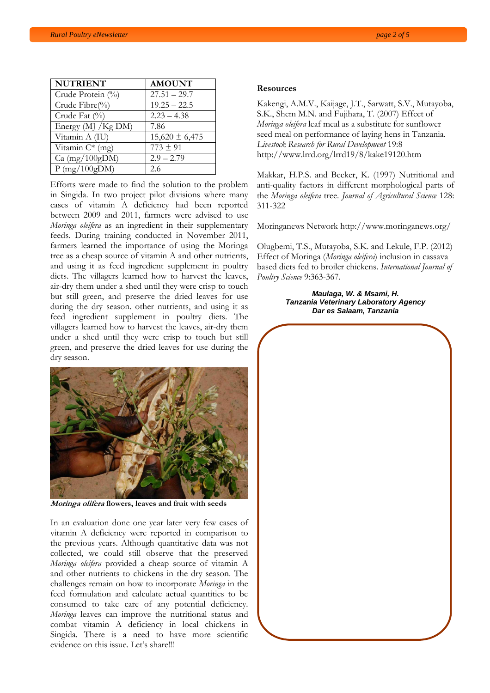| <b>NUTRIENT</b>     | <b>AMOUNT</b>      |
|---------------------|--------------------|
| Crude Protein (%)   | $27.51 - 29.7$     |
| Crude Fibre(%)      | $19.25 - 22.5$     |
| Crude Fat (%)       | $2.23 - 4.38$      |
| Energy (MJ / Kg DM) | 7.86               |
| Vitamin A (IU)      | $15,620 \pm 6,475$ |
| Vitamin $C^*$ (mg)  | $773 \pm 91$       |
| $Ca$ (mg/100gDM)    | $2.9 - 2.79$       |
| P(mg/100gDM)        | 2.6                |

Efforts were made to find the solution to the problem in Singida. In two project pilot divisions where many cases of vitamin A deficiency had been reported between 2009 and 2011, farmers were advised to use Moringa oleifera as an ingredient in their supplementary feeds. During training conducted in November 2011, farmers learned the importance of using the Moringa tree as a cheap source of vitamin A and other nutrients, and using it as feed ingredient supplement in poultry diets. The villagers learned how to harvest the leaves, air-dry them under a shed until they were crisp to touch but still green, and preserve the dried leaves for use during the dry season. other nutrients, and using it as feed ingredient supplement in poultry diets. The villagers learned how to harvest the leaves, air-dry them under a shed until they were crisp to touch but still green, and preserve the dried leaves for use during the dry season.



Moringa olifera flowers, leaves and fruit with seeds

In an evaluation done one year later very few cases of vitamin A deficiency were reported in comparison to the previous years. Although quantitative data was not collected, we could still observe that the preserved Moringa oleifera provided a cheap source of vitamin A and other nutrients to chickens in the dry season. The challenges remain on how to incorporate Moringa in the feed formulation and calculate actual quantities to be consumed to take care of any potential deficiency. Moringa leaves can improve the nutritional status and combat vitamin A deficiency in local chickens in Singida. There is a need to have more scientific evidence on this issue. Let's share!!!

#### Resources

Kakengi, A.M.V., Kaijage, J.T., Sarwatt, S.V., Mutayoba, S.K., Shem M.N. and Fujihara, T. (2007) Effect of Moringa oleifera leaf meal as a substitute for sunflower seed meal on performance of laying hens in Tanzania. Livestock Research for Rural Development 19:8 http://www.lrrd.org/lrrd19/8/kake19120.htm

Makkar, H.P.S. and Becker, K. (1997) Nutritional and anti-quality factors in different morphological parts of the Moringa oleifera tree. Journal of Agricultural Science 128: 311-322

Moringanews Network http://www.moringanews.org/

Olugbemi, T.S., Mutayoba, S.K. and Lekule, F.P. (2012) Effect of Moringa (Moringa oleifera) inclusion in cassava based diets fed to broiler chickens. International Journal of Poultry Science 9:363-367.

#### **Maulaga, W. & Msami, H. Tanzania Veterinary Laboratory Agency Dar es Salaam, Tanzania**

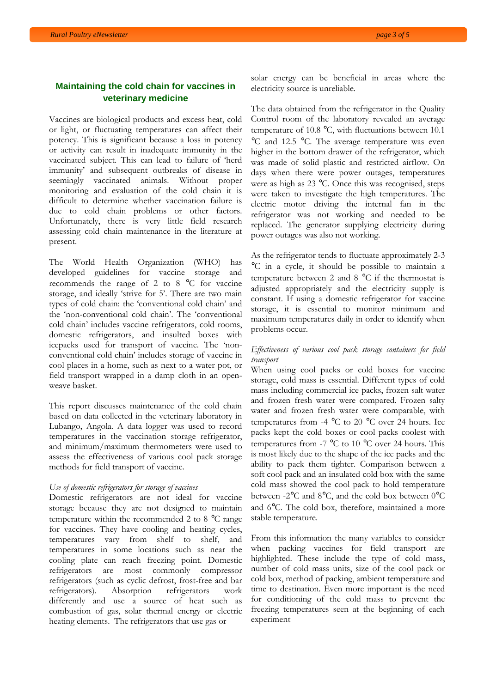# **Maintaining the cold chain for vaccines in veterinary medicine**

Vaccines are biological products and excess heat, cold or light, or fluctuating temperatures can affect their potency. This is significant because a loss in potency or activity can result in inadequate immunity in the vaccinated subject. This can lead to failure of 'herd immunity' and subsequent outbreaks of disease in seemingly vaccinated animals. Without proper monitoring and evaluation of the cold chain it is difficult to determine whether vaccination failure is due to cold chain problems or other factors. Unfortunately, there is very little field research assessing cold chain maintenance in the literature at present.

The World Health Organization (WHO) has developed guidelines for vaccine storage and recommends the range of 2 to 8 °C for vaccine storage, and ideally 'strive for 5'. There are two main types of cold chain: the 'conventional cold chain' and the 'non-conventional cold chain'. The 'conventional cold chain' includes vaccine refrigerators, cold rooms, domestic refrigerators, and insulted boxes with icepacks used for transport of vaccine. The 'nonconventional cold chain' includes storage of vaccine in cool places in a home, such as next to a water pot, or field transport wrapped in a damp cloth in an openweave basket.

This report discusses maintenance of the cold chain based on data collected in the veterinary laboratory in Lubango, Angola. A data logger was used to record temperatures in the vaccination storage refrigerator, and minimum/maximum thermometers were used to assess the effectiveness of various cool pack storage methods for field transport of vaccine.

### Use of domestic refrigerators for storage of vaccines

Domestic refrigerators are not ideal for vaccine storage because they are not designed to maintain temperature within the recommended 2 to 8 °C range for vaccines. They have cooling and heating cycles, temperatures vary from shelf to shelf, and temperatures in some locations such as near the cooling plate can reach freezing point. Domestic refrigerators are most commonly compressor refrigerators (such as cyclic defrost, frost-free and bar refrigerators). Absorption refrigerators work differently and use a source of heat such as combustion of gas, solar thermal energy or electric heating elements. The refrigerators that use gas or

solar energy can be beneficial in areas where the electricity source is unreliable.

The data obtained from the refrigerator in the Quality Control room of the laboratory revealed an average temperature of 10.8 °C, with fluctuations between 10.1 °C and 12.5 °C. The average temperature was even higher in the bottom drawer of the refrigerator, which was made of solid plastic and restricted airflow. On days when there were power outages, temperatures were as high as 23 °C. Once this was recognised, steps were taken to investigate the high temperatures. The electric motor driving the internal fan in the refrigerator was not working and needed to be replaced. The generator supplying electricity during power outages was also not working.

As the refrigerator tends to fluctuate approximately 2-3 °C in a cycle, it should be possible to maintain a temperature between 2 and 8 °C if the thermostat is adjusted appropriately and the electricity supply is constant. If using a domestic refrigerator for vaccine storage, it is essential to monitor minimum and maximum temperatures daily in order to identify when problems occur.

### Effectiveness of various cool pack storage containers for field transport

When using cool packs or cold boxes for vaccine storage, cold mass is essential. Different types of cold mass including commercial ice packs, frozen salt water and frozen fresh water were compared. Frozen salty water and frozen fresh water were comparable, with temperatures from -4 °C to 20 °C over 24 hours. Ice packs kept the cold boxes or cool packs coolest with temperatures from -7  $\mathrm{^{\circ}C}$  to 10  $\mathrm{^{\circ}C}$  over 24 hours. This is most likely due to the shape of the ice packs and the ability to pack them tighter. Comparison between a soft cool pack and an insulated cold box with the same cold mass showed the cool pack to hold temperature between -2°C and 8°C, and the cold box between 0°C and 6°C. The cold box, therefore, maintained a more stable temperature.

From this information the many variables to consider when packing vaccines for field transport are highlighted. These include the type of cold mass, number of cold mass units, size of the cool pack or cold box, method of packing, ambient temperature and time to destination. Even more important is the need for conditioning of the cold mass to prevent the freezing temperatures seen at the beginning of each experiment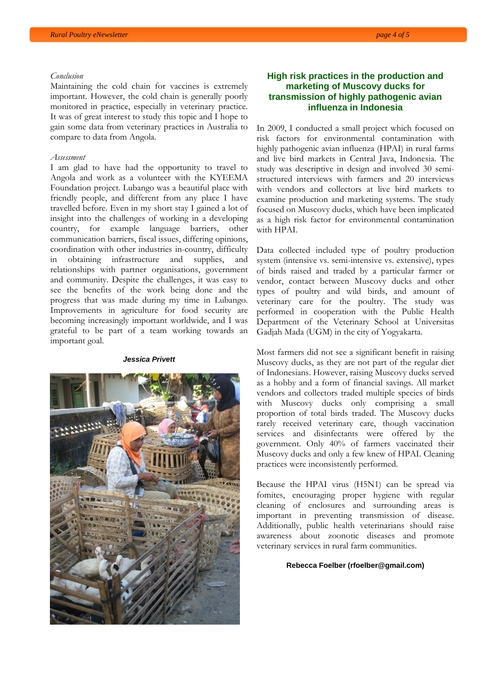#### Conclusion

Maintaining the cold chain for vaccines is extremely important. However, the cold chain is generally poorly monitored in practice, especially in veterinary practice. It was of great interest to study this topic and I hope to gain some data from veterinary practices in Australia to compare to data from Angola.

### Assessment

I am glad to have had the opportunity to travel to Angola and work as a volunteer with the KYEEMA Foundation project. Lubango was a beautiful place with friendly people, and different from any place I have travelled before. Even in my short stay I gained a lot of insight into the challenges of working in a developing country, for example language barriers, other communication barriers, fiscal issues, differing opinions, coordination with other industries in-country, difficulty in obtaining infrastructure and supplies, and relationships with partner organisations, government and community. Despite the challenges, it was easy to see the benefits of the work being done and the progress that was made during my time in Lubango. Improvements in agriculture for food security are becoming increasingly important worldwide, and I was grateful to be part of a team working towards an important goal.

#### **Jessica Privett**



## **High risk practices in the production and marketing of Muscovy ducks for transmission of highly pathogenic avian influenza in Indonesia**

In 2009, I conducted a small project which focused on risk factors for environmental contamination with highly pathogenic avian influenza (HPAI) in rural farms and live bird markets in Central Java, Indonesia. The study was descriptive in design and involved 30 semistructured interviews with farmers and 20 interviews with vendors and collectors at live bird markets to examine production and marketing systems. The study focused on Muscovy ducks, which have been implicated as a high risk factor for environmental contamination with HPAI.

Data collected included type of poultry production system (intensive vs. semi-intensive vs. extensive), types of birds raised and traded by a particular farmer or vendor, contact between Muscovy ducks and other types of poultry and wild birds, and amount of veterinary care for the poultry. The study was performed in cooperation with the Public Health Department of the Veterinary School at Universitas Gadjah Mada (UGM) in the city of Yogyakarta.

Most farmers did not see a significant benefit in raising Muscovy ducks, as they are not part of the regular diet of Indonesians. However, raising Muscovy ducks served as a hobby and a form of financial savings. All market vendors and collectors traded multiple species of birds with Muscovy ducks only comprising a small proportion of total birds traded. The Muscovy ducks rarely received veterinary care, though vaccination services and disinfectants were offered by the government. Only 40% of farmers vaccinated their Muscovy ducks and only a few knew of HPAI. Cleaning practices were inconsistently performed.

Because the HPAI virus (H5N1) can be spread via fomites, encouraging proper hygiene with regular cleaning of enclosures and surrounding areas is important in preventing transmission of disease. Additionally, public health veterinarians should raise awareness about zoonotic diseases and promote veterinary services in rural farm communities.

#### **Rebecca Foelber (rfoelber@gmail.com)**